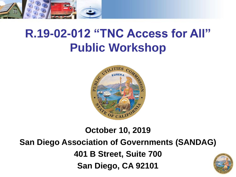

### **R.19-02-012 "TNC Access for All" Public Workshop**



#### **October 10, 2019 San Diego Association of Governments (SANDAG) 401 B Street, Suite 700 San Diego, CA 92101**

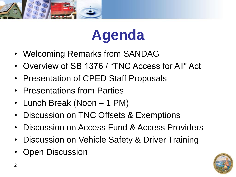



- Welcoming Remarks from SANDAG
- Overview of SB 1376 / "TNC Access for All" Act
- Presentation of CPED Staff Proposals
- Presentations from Parties
- Lunch Break (Noon 1 PM)
- Discussion on TNC Offsets & Exemptions
- Discussion on Access Fund & Access Providers
- Discussion on Vehicle Safety & Driver Training
- Open Discussion

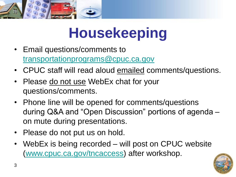

# **Housekeeping**

- Email questions/comments to [transportationprograms@cpuc.ca.gov](mailto:transportationprograms@cpuc.ca.gov)
- CPUC staff will read aloud emailed comments/questions.
- Please do not use WebEx chat for your questions/comments.
- Phone line will be opened for comments/questions during Q&A and "Open Discussion" portions of agenda – on mute during presentations.
- Please do not put us on hold.
- WebEx is being recorded will post on CPUC website [\(www.cpuc.ca.gov/tncaccess\)](http://www.cpuc.ca.gov/tncaccess) after workshop.

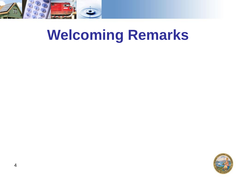

# **Welcoming Remarks**

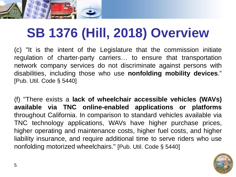

## **SB 1376 (Hill, 2018) Overview**

(c) "It is the intent of the Legislature that the commission initiate regulation of charter-party carriers… to ensure that transportation network company services do not discriminate against persons with disabilities, including those who use **nonfolding mobility devices**." [Pub. Util. Code § 5440]

(f) "There exists a **lack of wheelchair accessible vehicles (WAVs) available via TNC online-enabled applications or platforms** throughout California. In comparison to standard vehicles available via TNC technology applications, WAVs have higher purchase prices, higher operating and maintenance costs, higher fuel costs, and higher liability insurance, and require additional time to serve riders who use nonfolding motorized wheelchairs." [Pub. Util. Code § 5440]

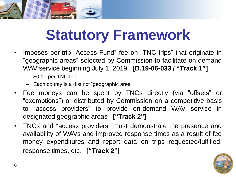

# **Statutory Framework**

- Imposes per-trip "Access Fund" fee on "TNC trips" that originate in "geographic areas" selected by Commission to facilitate on-demand WAV service beginning July 1, 2019 **[D.19-06-033 / "Track 1"]**
	- \$0.10 per TNC trip
	- Each county is a distinct "geographic area"
- Fee moneys can be spent by TNCs directly (via "offsets" or "exemptions") or distributed by Commission on a competitive basis to "access providers" to provide on-demand WAV service in designated geographic areas **["Track 2"]**
- TNCs and "access providers" must demonstrate the presence and availability of WAVs and improved response times as a result of fee money expenditures and report data on trips requested/fulfilled, response times, etc. **["Track 2"]**

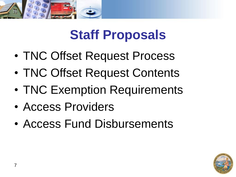

- TNC Offset Request Process
- TNC Offset Request Contents
- TNC Exemption Requirements
- Access Providers
- Access Fund Disbursements

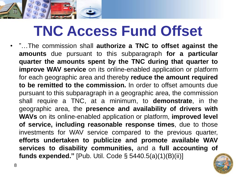

# **TNC Access Fund Offset**

• "…The commission shall **authorize a TNC to offset against the amounts** due pursuant to this subparagraph **for a particular quarter the amounts spent by the TNC during that quarter to improve WAV service** on its online-enabled application or platform for each geographic area and thereby **reduce the amount required to be remitted to the commission.** In order to offset amounts due pursuant to this subparagraph in a geographic area, the commission shall require a TNC, at a minimum, to **demonstrate**, in the geographic area, the **presence and availability of drivers with WAVs** on its online-enabled application or platform, **improved level of service, including reasonable response times**, due to those investments for WAV service compared to the previous quarter, **efforts undertaken to publicize and promote available WAV services to disability communities,** and a **full accounting of funds expended."** [Pub. Util. Code § 5440.5(a)(1)(B)(ii)]

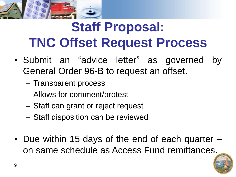

## **Staff Proposal: TNC Offset Request Process**

- Submit an "advice letter" as governed by General Order 96-B to request an offset.
	- Transparent process
	- Allows for comment/protest
	- Staff can grant or reject request
	- Staff disposition can be reviewed
- Due within 15 days of the end of each quarter on same schedule as Access Fund remittances.

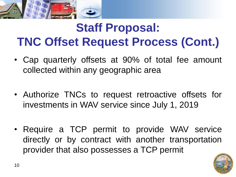

### **Staff Proposal: TNC Offset Request Process (Cont.)**

- Cap quarterly offsets at 90% of total fee amount collected within any geographic area
- Authorize TNCs to request retroactive offsets for investments in WAV service since July 1, 2019
- Require a TCP permit to provide WAV service directly or by contract with another transportation provider that also possesses a TCP permit

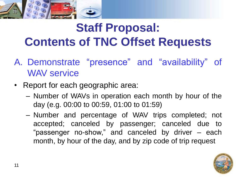

### **Staff Proposal: Contents of TNC Offset Requests**

- A. Demonstrate "presence" and "availability" of WAV service
- Report for each geographic area:
	- Number of WAVs in operation each month by hour of the day (e.g. 00:00 to 00:59, 01:00 to 01:59)
	- Number and percentage of WAV trips completed; not accepted; canceled by passenger; canceled due to "passenger no-show," and canceled by driver – each month, by hour of the day, and by zip code of trip request

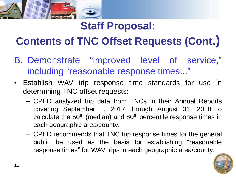

### **Contents of TNC Offset Requests (Cont.)**

- B. Demonstrate "improved level of service," including "reasonable response times..."
- Establish WAV trip response time standards for use in determining TNC offset requests:
	- CPED analyzed trip data from TNCs in their Annual Reports covering September 1, 2017 through August 31, 2018 to calculate the 50<sup>th</sup> (median) and 80<sup>th</sup> percentile response times in each geographic area/county.
	- CPED recommends that TNC trip response times for the general public be used as the basis for establishing "reasonable response times" for WAV trips in each geographic area/county.

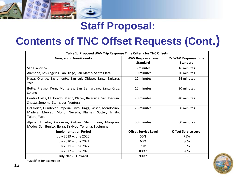#### **Contents of TNC Offset Requests (Cont.)**

| Table 1. Proposed WAV Trip Response Time Criteria for TNC Offsets                                                                        |                                             |                                         |
|------------------------------------------------------------------------------------------------------------------------------------------|---------------------------------------------|-----------------------------------------|
| <b>Geographic Area/County</b>                                                                                                            | <b>WAV Response Time</b><br><b>Standard</b> | 2x WAV Response Time<br><b>Standard</b> |
| San Francisco                                                                                                                            | 8 minutes                                   | 16 minutes                              |
| Alameda, Los Angeles, San Diego, San Mateo, Santa Clara                                                                                  | 10 minutes                                  | 20 minutes                              |
| Napa, Orange, Sacramento, San Luis Obispo, Santa Barbara,<br>Yolo                                                                        | 12 minutes                                  | 24 minutes                              |
| Butte, Fresno, Kern, Monterey, San Bernardino, Santa Cruz,<br>Solano                                                                     | 15 minutes                                  | 30 minutes                              |
| Contra Costa, El Dorado, Marin, Placer, Riverside, San Joaquin,<br>Shasta, Sonoma, Stanislaus, Ventura                                   | 20 minutes                                  | 40 minutes                              |
| Del Norte, Humboldt, Imperial, Inyo, Kings, Lassen, Mendocino,<br>Madera, Merced, Mono, Nevada, Plumas, Sutter, Trinity,<br>Tulare, Yuba | 25 minutes                                  | 50 minutes                              |
| Alpine, Amador, Calaveras, Colusa, Glenn, Lake, Mariposa,<br>Modoc, San Benito, Sierra, Siskiyou, Tehama, Tuolumne                       | 30 minutes                                  | 60 minutes                              |
| <b>Implementation Period</b>                                                                                                             | <b>Offset Service Level</b>                 | <b>Offset Service Level</b>             |
| July 2019 - June 2020                                                                                                                    | 50%                                         | 75%                                     |
| July 2020 - June 2021                                                                                                                    | 60%                                         | 80%                                     |
| July 2021 - June 2022                                                                                                                    | 70%                                         | 85%                                     |
| July 2022 - June 2023                                                                                                                    | 80%*                                        | 90%                                     |
| July 2023 - Onward                                                                                                                       | 90%*                                        |                                         |



\*Qualifies for exemption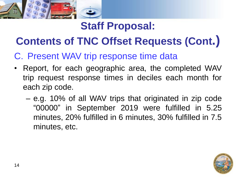

### **Contents of TNC Offset Requests (Cont.)**

#### C. Present WAV trip response time data

- Report, for each geographic area, the completed WAV trip request response times in deciles each month for each zip code.
	- e.g. 10% of all WAV trips that originated in zip code "00000" in September 2019 were fulfilled in 5.25 minutes, 20% fulfilled in 6 minutes, 30% fulfilled in 7.5 minutes, etc.

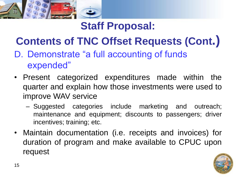

### **Contents of TNC Offset Requests (Cont.)**

- D. Demonstrate "a full accounting of funds expended"
- Present categorized expenditures made within the quarter and explain how those investments were used to improve WAV service
	- Suggested categories include marketing and outreach; maintenance and equipment; discounts to passengers; driver incentives; training; etc.
- Maintain documentation (i.e. receipts and invoices) for duration of program and make available to CPUC upon request

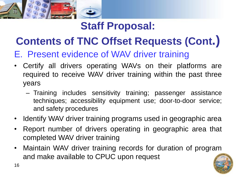

### **Contents of TNC Offset Requests (Cont.)**

#### E. Present evidence of WAV driver training

- Certify all drivers operating WAVs on their platforms are required to receive WAV driver training within the past three years
	- Training includes sensitivity training; passenger assistance techniques; accessibility equipment use; door-to-door service; and safety procedures
- Identify WAV driver training programs used in geographic area
- Report number of drivers operating in geographic area that completed WAV driver training
- Maintain WAV driver training records for duration of program and make available to CPUC upon request

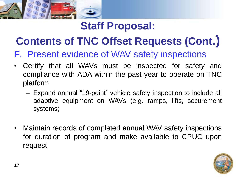

### **Contents of TNC Offset Requests (Cont.)**

F. Present evidence of WAV safety inspections

- Certify that all WAVs must be inspected for safety and compliance with ADA within the past year to operate on TNC platform
	- Expand annual "19-point" vehicle safety inspection to include all adaptive equipment on WAVs (e.g. ramps, lifts, securement systems)
- Maintain records of completed annual WAV safety inspections for duration of program and make available to CPUC upon request

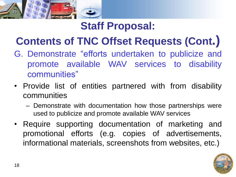

### **Contents of TNC Offset Requests (Cont.)**

- G. Demonstrate "efforts undertaken to publicize and promote available WAV services to disability communities"
- Provide list of entities partnered with from disability communities
	- Demonstrate with documentation how those partnerships were used to publicize and promote available WAV services
- Require supporting documentation of marketing and promotional efforts (e.g. copies of advertisements, informational materials, screenshots from websites, etc.)

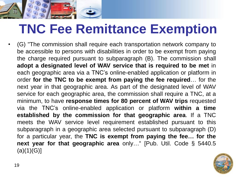

## **TNC Fee Remittance Exemption**

• (G) "The commission shall require each transportation network company to be accessible to persons with disabilities in order to be exempt from paying the charge required pursuant to subparagraph (B). The commission shall **adopt a designated level of WAV service that is required to be met** in each geographic area via a TNC's online-enabled application or platform in order **for the TNC to be exempt from paying the fee required**… for the next year in that geographic area. As part of the designated level of WAV service for each geographic area, the commission shall require a TNC, at a minimum, to have **response times for 80 percent of WAV trips** requested via the TNC's online-enabled application or platform **within a time established by the commission for that geographic area**. If a TNC meets the WAV service level requirement established pursuant to this subparagraph in a geographic area selected pursuant to subparagraph (D) for a particular year, the **TNC is exempt from paying the fee… for the next year for that geographic area** only…" [Pub. Util. Code § 5440.5  $(a)(1)(G)]$ 

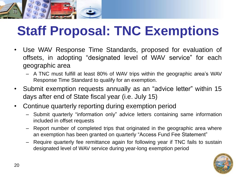

## **Staff Proposal: TNC Exemptions**

- Use WAV Response Time Standards, proposed for evaluation of offsets, in adopting "designated level of WAV service" for each geographic area
	- A TNC must fulfill at least 80% of WAV trips within the geographic area's WAV Response Time Standard to qualify for an exemption.
- Submit exemption requests annually as an "advice letter" within 15 days after end of State fiscal year (i.e. July 15)
- Continue quarterly reporting during exemption period
	- Submit quarterly "information only" advice letters containing same information included in offset requests
	- Report number of completed trips that originated in the geographic area where an exemption has been granted on quarterly "Access Fund Fee Statement"
	- Require quarterly fee remittance again for following year if TNC fails to sustain designated level of WAV service during year-long exemption period

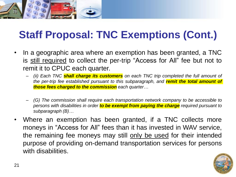

#### **Staff Proposal: TNC Exemptions (Cont.)**

- In a geographic area where an exemption has been granted, a TNC is still required to collect the per-trip "Access for All" fee but not to remit it to CPUC each quarter.
	- *(ii) Each TNC shall charge its customers on each TNC trip completed the full amount of the per-trip fee established pursuant to this subparagraph, and remit the total amount of those fees charged to the commission each quarter…*
	- *(G) The commission shall require each transportation network company to be accessible to persons with disabilities in order to be exempt from paying the charge required pursuant to subparagraph (B)…*
- Where an exemption has been granted, if a TNC collects more moneys in "Access for All" fees than it has invested in WAV service, the remaining fee moneys may still only be used for their intended purpose of providing on-demand transportation services for persons with disabilities.

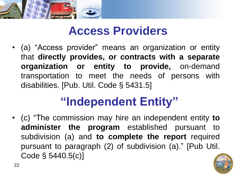

22

### **Access Providers**

• (a) "Access provider" means an organization or entity that **directly provides, or contracts with a separate organization or entity to provide,** on-demand transportation to meet the needs of persons with disabilities. [Pub. Util. Code § 5431.5]

### **"Independent Entity"**

• (c) "The commission may hire an independent entity **to administer the program** established pursuant to subdivision (a) and **to complete the report** required pursuant to paragraph (2) of subdivision (a)." [Pub Util. Code § 5440.5(c)]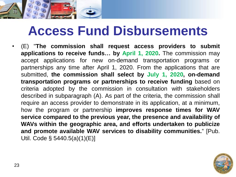

### **Access Fund Disbursements**

• (E) "**The commission shall request access providers to submit applications to receive funds… by April 1, 2020.** The commission may accept applications for new on-demand transportation programs or partnerships any time after April 1, 2020. From the applications that are submitted, **the commission shall select by July 1, 2020, on-demand transportation programs or partnerships to receive funding** based on criteria adopted by the commission in consultation with stakeholders described in subparagraph (A). As part of the criteria, the commission shall require an access provider to demonstrate in its application, at a minimum, how the program or partnership **improves response times for WAV service compared to the previous year, the presence and availability of WAVs within the geographic area, and efforts undertaken to publicize and promote available WAV services to disability communities.**" [Pub. Util. Code § 5440.5(a)(1)(E)]

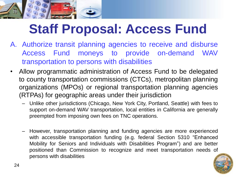

## **Staff Proposal: Access Fund**

- A. Authorize transit planning agencies to receive and disburse Access Fund moneys to provide on-demand WAV transportation to persons with disabilities
- Allow programmatic administration of Access Fund to be delegated to county transportation commissions (CTCs), metropolitan planning organizations (MPOs) or regional transportation planning agencies (RTPAs) for geographic areas under their jurisdiction
	- Unlike other jurisdictions (Chicago, New York City, Portland, Seattle) with fees to support on-demand WAV transportation, local entities in California are generally preempted from imposing own fees on TNC operations.
	- However, transportation planning and funding agencies are more experienced with accessible transportation funding (e.g. federal Section 5310 "Enhanced Mobility for Seniors and Individuals with Disabilities Program") and are better positioned than Commission to recognize and meet transportation needs of persons with disabilities

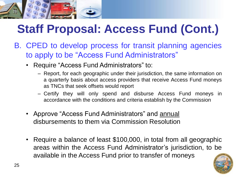

- B. CPED to develop process for transit planning agencies to apply to be "Access Fund Administrators"
	- Require "Access Fund Administrators" to:
		- ‒ Report, for each geographic under their jurisdiction, the same information on a quarterly basis about access providers that receive Access Fund moneys as TNCs that seek offsets would report
		- ‒ Certify they will only spend and disburse Access Fund moneys in accordance with the conditions and criteria establish by the Commission
	- Approve "Access Fund Administrators" and annual disbursements to them via Commission Resolution
	- Require a balance of least \$100,000, in total from all geographic areas within the Access Fund Administrator's jurisdiction, to be available in the Access Fund prior to transfer of moneys

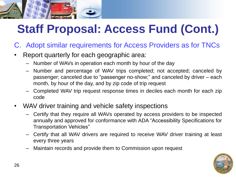## **Staff Proposal: Access Fund (Cont.)**

- C. Adopt similar requirements for Access Providers as for TNCs
- Report quarterly for each geographic area:
	- Number of WAVs in operation each month by hour of the day
	- Number and percentage of WAV trips completed; not accepted; canceled by passenger; canceled due to "passenger no-show;" and canceled by driver – each month, by hour of the day, and by zip code of trip request
	- Completed WAV trip request response times in deciles each month for each zip code
- WAV driver training and vehicle safety inspections
	- Certify that they require all WAVs operated by access providers to be inspected annually and approved for conformance with ADA "Accessibility Specifications for Transportation Vehicles"
	- Certify that all WAV drivers are required to receive WAV driver training at least every three years
	- Maintain records and provide them to Commission upon request

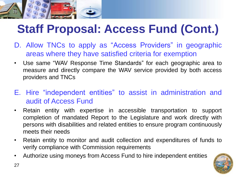

### **Staff Proposal: Access Fund (Cont.)**

- D. Allow TNCs to apply as "Access Providers" in geographic areas where they have satisfied criteria for exemption
- Use same "WAV Response Time Standards" for each geographic area to measure and directly compare the WAV service provided by both access providers and TNCs
- E. Hire "independent entities" to assist in administration and audit of Access Fund
- Retain entity with expertise in accessible transportation to support completion of mandated Report to the Legislature and work directly with persons with disabilities and related entities to ensure program continuously meets their needs
- Retain entity to monitor and audit collection and expenditures of funds to verify compliance with Commission requirements
- Authorize using moneys from Access Fund to hire independent entities

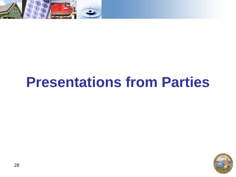

## **Presentations from Parties**

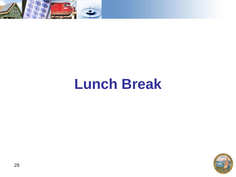

## **Lunch Break**

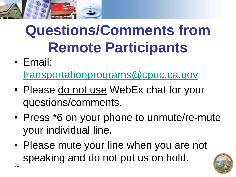

# **Questions/Comments from Remote Participants**

• Email:

[transportationprograms@cpuc.ca.gov](mailto:transportationprograms@cpuc.ca.gov)

- Please do not use WebEx chat for your questions/comments.
- Press \*6 on your phone to unmute/re-mute your individual line.
- Please mute your line when you are not speaking and do not put us on hold. 30

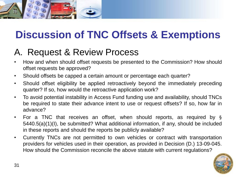

### **Discussion of TNC Offsets & Exemptions**

#### A. Request & Review Process

- How and when should offset requests be presented to the Commission? How should offset requests be approved?
- Should offsets be capped a certain amount or percentage each quarter?
- Should offset eligibility be applied retroactively beyond the immediately preceding quarter? If so, how would the retroactive application work?
- To avoid potential instability in Access Fund funding use and availability, should TNCs be required to state their advance intent to use or request offsets? If so, how far in advance?
- For a TNC that receives an offset, when should reports, as required by § 5440.5(a)(1)(I), be submitted? What additional information, if any, should be included in these reports and should the reports be publicly available?
- Currently TNCs are not permitted to own vehicles or contract with transportation providers for vehicles used in their operation, as provided in Decision (D.) 13-09-045. How should the Commission reconcile the above statute with current regulations?

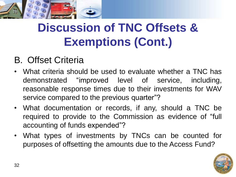

### **Discussion of TNC Offsets & Exemptions (Cont.)**

#### B. Offset Criteria

- What criteria should be used to evaluate whether a TNC has demonstrated "improved level of service, including, reasonable response times due to their investments for WAV service compared to the previous quarter"?
- What documentation or records, if any, should a TNC be required to provide to the Commission as evidence of "full accounting of funds expended"?
- What types of investments by TNCs can be counted for purposes of offsetting the amounts due to the Access Fund?

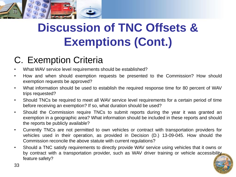

### **Discussion of TNC Offsets & Exemptions (Cont.)**

#### C. Exemption Criteria

- What WAV service level requirements should be established?
- How and when should exemption requests be presented to the Commission? How should exemption requests be approved?
- What information should be used to establish the required response time for 80 percent of WAV trips requested?
- Should TNCs be required to meet all WAV service level requirements for a certain period of time before receiving an exemption? If so, what duration should be used?
- Should the Commission require TNCs to submit reports during the year it was granted an exemption in a geographic area? What information should be included in these reports and should the reports be publicly available?
- Currently TNCs are not permitted to own vehicles or contract with transportation providers for vehicles used in their operation, as provided in Decision (D.) 13-09-045. How should the Commission reconcile the above statute with current regulations?
- Should a TNC satisfy requirements to directly provide WAV service using vehicles that it owns or by contract with a transportation provider, such as WAV driver training or vehicle accessibility. feature safety?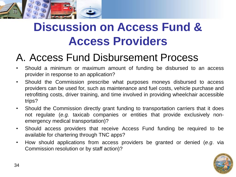

### **Discussion on Access Fund & Access Providers**

#### A. Access Fund Disbursement Process

- Should a minimum or maximum amount of funding be disbursed to an access provider in response to an application?
- Should the Commission prescribe what purposes moneys disbursed to access providers can be used for, such as maintenance and fuel costs, vehicle purchase and retrofitting costs, driver training, and time involved in providing wheelchair accessible trips?
- Should the Commission directly grant funding to transportation carriers that it does not regulate (*e.g.* taxicab companies or entities that provide exclusively nonemergency medical transportation)?
- Should access providers that receive Access Fund funding be required to be available for chartering through TNC apps?
- How should applications from access providers be granted or denied (*e.g*. via Commission resolution or by staff action)?

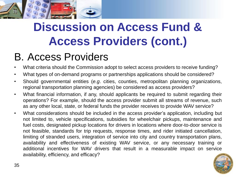

### **Discussion on Access Fund & Access Providers (cont.)**

#### B. Access Providers

- What criteria should the Commission adopt to select access providers to receive funding?
- What types of on-demand programs or partnerships applications should be considered?
- Should governmental entities (*e.g*. cities, counties, metropolitan planning organizations, regional transportation planning agencies) be considered as access providers?
- What financial information, if any, should applicants be required to submit regarding their operations? For example, should the access provider submit all streams of revenue, such as any other local, state, or federal funds the provider receives to provide WAV service?
- What considerations should be included in the access provider's application, including but not limited to, vehicle specifications, subsidies for wheelchair pickups, maintenance and fuel costs, designated pickup locations for drivers in locations where door-to-door service is not feasible, standards for trip requests, response times, and rider initiated cancellation, limiting of stranded users, integration of service into city and country transportation plans, availability and effectiveness of existing WAV service, or any necessary training or additional incentives for WAV drivers that result in a measurable impact on service availability, efficiency, and efficacy?

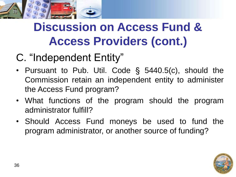

### **Discussion on Access Fund & Access Providers (cont.)**

### C. "Independent Entity"

- Pursuant to Pub. Util. Code § 5440.5(c), should the Commission retain an independent entity to administer the Access Fund program?
- What functions of the program should the program administrator fulfill?
- Should Access Fund moneys be used to fund the program administrator, or another source of funding?

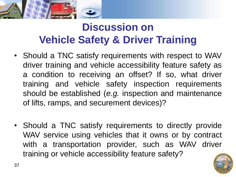

### **Discussion on Vehicle Safety & Driver Training**

- Should a TNC satisfy requirements with respect to WAV driver training and vehicle accessibility feature safety as a condition to receiving an offset? If so, what driver training and vehicle safety inspection requirements should be established (*e.g.* inspection and maintenance of lifts, ramps, and securement devices)?
- Should a TNC satisfy requirements to directly provide WAV service using vehicles that it owns or by contract with a transportation provider, such as WAV driver training or vehicle accessibility feature safety?

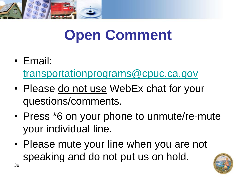

# **Open Comment**

• Email:

[transportationprograms@cpuc.ca.gov](mailto:transportationprograms@cpuc.ca.gov)

- Please do not use WebEx chat for your questions/comments.
- Press \*6 on your phone to unmute/re-mute your individual line.
- Please mute your line when you are not speaking and do not put us on hold.